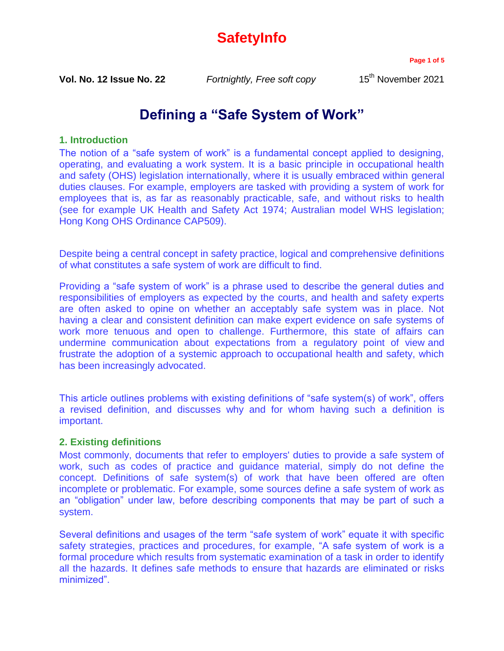# **SafetyInfo**

**Page 1 of 5**

**Vol. No. 12 Issue No. 22** *Fortnightly, Free soft copy* 15<sup>th</sup> November 2021

# **Defining a "Safe System of Work"**

## **1. Introduction**

The notion of a "safe system of work" is a fundamental concept applied to designing, operating, and evaluating a work system. It is a basic principle in occupational health and safety (OHS) legislation internationally, where it is usually embraced within general duties clauses. For example, employers are tasked with providing a system of work for employees that is, as far as reasonably practicable, safe, and without risks to health (see for example UK Health and Safety Act 1974; Australian model WHS legislation; Hong Kong OHS Ordinance CAP509).

Despite being a central concept in safety practice, logical and comprehensive definitions of what constitutes a safe system of work are difficult to find.

Providing a "safe system of work" is a phrase used to describe the general duties and responsibilities of employers as expected by the courts, and health and safety experts are often asked to opine on whether an acceptably safe system was in place. Not having a clear and consistent definition can make expert evidence on safe systems of work more tenuous and open to challenge. Furthermore, this state of affairs can undermine communication about expectations from a regulatory point of view and frustrate the adoption of a systemic approach to occupational health and safety, which has been increasingly advocated.

This article outlines problems with existing definitions of "safe system(s) of work", offers a revised definition, and discusses why and for whom having such a definition is important.

### **2. Existing definitions**

Most commonly, documents that refer to employers' duties to provide a safe system of work, such as codes of practice and guidance material, simply do not define the concept. Definitions of safe system(s) of work that have been offered are often incomplete or problematic. For example, some sources define a safe system of work as an "obligation" under law, before describing components that may be part of such a system.

Several definitions and usages of the term "safe system of work" equate it with specific safety strategies, practices and procedures, for example, "A safe system of work is a formal procedure which results from systematic examination of a task in order to identify all the hazards. It defines safe methods to ensure that hazards are eliminated or risks minimized".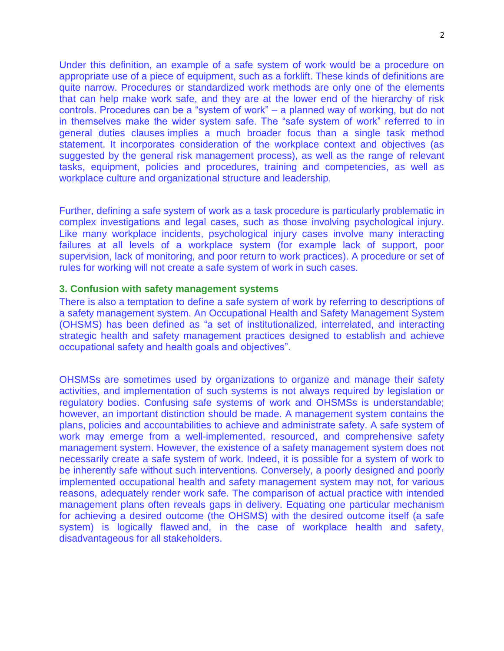Under this definition, an example of a safe system of work would be a procedure on appropriate use of a piece of equipment, such as a forklift. These kinds of definitions are quite narrow. Procedures or standardized work methods are only one of the elements that can help make work safe, and they are at the lower end of the hierarchy of risk controls. Procedures can be a "system of work" – a planned way of working, but do not in themselves make the wider system safe. The "safe system of work" referred to in general duties clauses implies a much broader focus than a single task method statement. It incorporates consideration of the workplace context and objectives (as suggested by the general risk management process), as well as the range of relevant tasks, equipment, policies and procedures, training and competencies, as well as workplace culture and organizational structure and leadership.

Further, defining a safe system of work as a task procedure is particularly problematic in complex investigations and legal cases, such as those involving psychological injury. Like many workplace incidents, psychological injury cases involve many interacting failures at all levels of a workplace system (for example lack of support, poor supervision, lack of monitoring, and poor return to work practices). A procedure or set of rules for working will not create a safe system of work in such cases.

#### **3. Confusion with safety management systems**

There is also a temptation to define a safe system of work by referring to descriptions of a safety management system. An Occupational Health and Safety Management System (OHSMS) has been defined as "a set of institutionalized, interrelated, and interacting strategic health and safety management practices designed to establish and achieve occupational safety and health goals and objectives".

OHSMSs are sometimes used by organizations to organize and manage their safety activities, and implementation of such systems is not always required by legislation or regulatory bodies. Confusing safe systems of work and OHSMSs is understandable; however, an important distinction should be made. A management system contains the plans, policies and accountabilities to achieve and administrate safety. A safe system of work may emerge from a well-implemented, resourced, and comprehensive safety management system. However, the existence of a safety management system does not necessarily create a safe system of work. Indeed, it is possible for a system of work to be inherently safe without such interventions. Conversely, a poorly designed and poorly implemented occupational health and safety management system may not, for various reasons, adequately render work safe. The comparison of actual practice with intended management plans often reveals gaps in delivery. Equating one particular mechanism for achieving a desired outcome (the OHSMS) with the desired outcome itself (a safe system) is logically flawed and, in the case of workplace health and safety, disadvantageous for all stakeholders.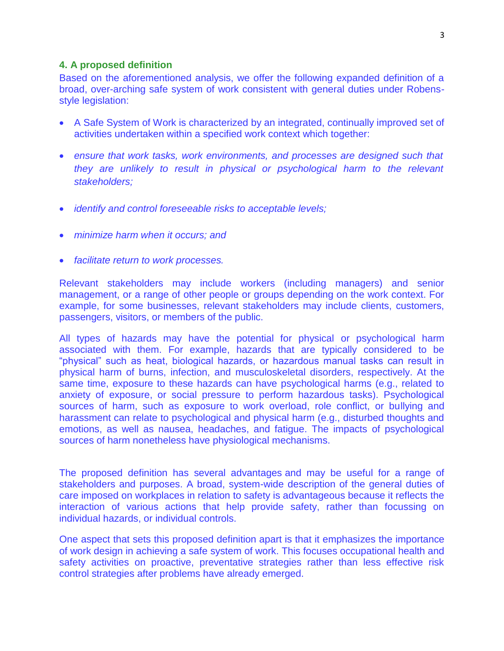#### **4. A proposed definition**

Based on the aforementioned analysis, we offer the following expanded definition of a broad, over-arching safe system of work consistent with general duties under Robensstyle legislation:

- A Safe System of Work is characterized by an integrated, continually improved set of activities undertaken within a specified work context which together:
- *ensure that work tasks, work environments, and processes are designed such that they are unlikely to result in physical or psychological harm to the relevant stakeholders;*
- *identify and control foreseeable risks to acceptable levels;*
- *minimize harm when it occurs; and*
- *facilitate return to work processes.*

Relevant stakeholders may include workers (including managers) and senior management, or a range of other people or groups depending on the work context. For example, for some businesses, relevant stakeholders may include clients, customers, passengers, visitors, or members of the public.

All types of hazards may have the potential for physical or psychological harm associated with them. For example, hazards that are typically considered to be "physical" such as heat, biological hazards, or hazardous manual tasks can result in physical harm of burns, infection, and musculoskeletal disorders, respectively. At the same time, exposure to these hazards can have psychological harms (e.g., related to anxiety of exposure, or social pressure to perform hazardous tasks). Psychological sources of harm, such as exposure to work overload, role conflict, or bullying and harassment can relate to psychological and physical harm (e.g., disturbed thoughts and emotions, as well as nausea, headaches, and fatigue. The impacts of psychological sources of harm nonetheless have physiological mechanisms.

The proposed definition has several advantages and may be useful for a range of stakeholders and purposes. A broad, system-wide description of the general duties of care imposed on workplaces in relation to safety is advantageous because it reflects the interaction of various actions that help provide safety, rather than focussing on individual hazards, or individual controls.

One aspect that sets this proposed definition apart is that it emphasizes the importance of work design in achieving a safe system of work. This focuses occupational health and safety activities on proactive, preventative strategies rather than less effective risk control strategies after problems have already emerged.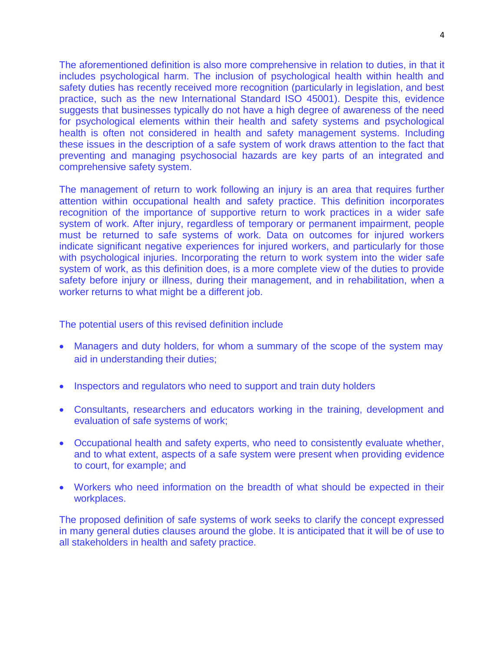The aforementioned definition is also more comprehensive in relation to duties, in that it includes psychological harm. The inclusion of psychological health within health and safety duties has recently received more recognition (particularly in legislation, and best practice, such as the new International Standard ISO 45001). Despite this, evidence suggests that businesses typically do not have a high degree of awareness of the need for psychological elements within their health and safety systems and psychological health is often not considered in health and safety management systems. Including these issues in the description of a safe system of work draws attention to the fact that preventing and managing psychosocial hazards are key parts of an integrated and comprehensive safety system.

The management of return to work following an injury is an area that requires further attention within occupational health and safety practice. This definition incorporates recognition of the importance of supportive return to work practices in a wider safe system of work. After injury, regardless of temporary or permanent impairment, people must be returned to safe systems of work. Data on outcomes for injured workers indicate significant negative experiences for injured workers, and particularly for those with psychological injuries. Incorporating the return to work system into the wider safe system of work, as this definition does, is a more complete view of the duties to provide safety before injury or illness, during their management, and in rehabilitation, when a worker returns to what might be a different job.

The potential users of this revised definition include

- Managers and duty holders, for whom a summary of the scope of the system may aid in understanding their duties;
- Inspectors and regulators who need to support and train duty holders
- Consultants, researchers and educators working in the training, development and evaluation of safe systems of work;
- Occupational health and safety experts, who need to consistently evaluate whether, and to what extent, aspects of a safe system were present when providing evidence to court, for example; and
- Workers who need information on the breadth of what should be expected in their workplaces.

The proposed definition of safe systems of work seeks to clarify the concept expressed in many general duties clauses around the globe. It is anticipated that it will be of use to all stakeholders in health and safety practice.